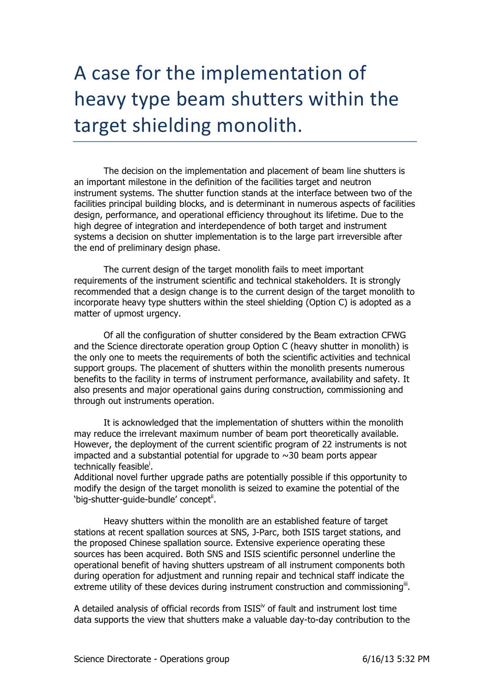## A case for the implementation of heavy type beam shutters within the target shielding monolith.

The decision on the implementation and placement of beam line shutters is an important milestone in the definition of the facilities target and neutron instrument systems. The shutter function stands at the interface between two of the facilities principal building blocks, and is determinant in numerous aspects of facilities design, performance, and operational efficiency throughout its lifetime. Due to the high degree of integration and interdependence of both target and instrument systems a decision on shutter implementation is to the large part irreversible after the end of preliminary design phase.

The current design of the target monolith fails to meet important requirements of the instrument scientific and technical stakeholders. It is strongly recommended that a design change is to the current design of the target monolith to incorporate heavy type shutters within the steel shielding (Option C) is adopted as a matter of upmost urgency.

Of all the configuration of shutter considered by the Beam extraction CFWG and the Science directorate operation group Option C (heavy shutter in monolith) is the only one to meets the requirements of both the scientific activities and technical support groups. The placement of shutters within the monolith presents numerous benefits to the facility in terms of instrument performance, availability and safety. It also presents and major operational gains during construction, commissioning and through out instruments operation.

It is acknowledged that the implementation of shutters within the monolith may reduce the irrelevant maximum number of beam port theoretically available. However, the deployment of the current scientific program of 22 instruments is not impacted and a substantial potential for upgrade to  $\sim$ 30 beam ports appear technically feasible<sup>i</sup>.

Additional novel further upgrade paths are potentially possible if this opportunity to modify the design of the target monolith is seized to examine the potential of the 'big-shutter-guide-bundle' concept<sup>ii</sup>.

Heavy shutters within the monolith are an established feature of target stations at recent spallation sources at SNS, J-Parc, both ISIS target stations, and the proposed Chinese spallation source. Extensive experience operating these sources has been acquired. Both SNS and ISIS scientific personnel underline the operational benefit of having shutters upstream of all instrument components both during operation for adjustment and running repair and technical staff indicate the extreme utility of these devices during instrument construction and commissioning<sup>iii</sup>.

A detailed analysis of official records from  $ISS<sup>i</sup>$  of fault and instrument lost time data supports the view that shutters make a valuable day-to-day contribution to the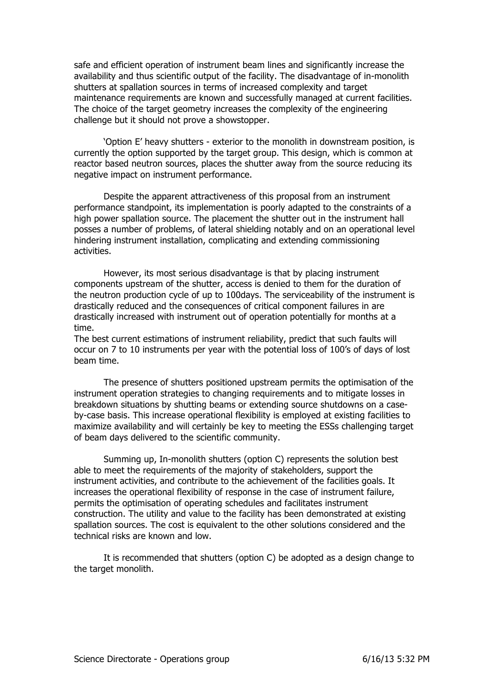safe and efficient operation of instrument beam lines and significantly increase the availability and thus scientific output of the facility. The disadvantage of in-monolith shutters at spallation sources in terms of increased complexity and target maintenance requirements are known and successfully managed at current facilities. The choice of the target geometry increases the complexity of the engineering challenge but it should not prove a showstopper.

'Option E' heavy shutters - exterior to the monolith in downstream position, is currently the option supported by the target group. This design, which is common at reactor based neutron sources, places the shutter away from the source reducing its negative impact on instrument performance.

Despite the apparent attractiveness of this proposal from an instrument performance standpoint, its implementation is poorly adapted to the constraints of a high power spallation source. The placement the shutter out in the instrument hall posses a number of problems, of lateral shielding notably and on an operational level hindering instrument installation, complicating and extending commissioning activities.

However, its most serious disadvantage is that by placing instrument components upstream of the shutter, access is denied to them for the duration of the neutron production cycle of up to 100days. The serviceability of the instrument is drastically reduced and the consequences of critical component failures in are drastically increased with instrument out of operation potentially for months at a time.

The best current estimations of instrument reliability, predict that such faults will occur on 7 to 10 instruments per year with the potential loss of 100's of days of lost beam time.

The presence of shutters positioned upstream permits the optimisation of the instrument operation strategies to changing requirements and to mitigate losses in breakdown situations by shutting beams or extending source shutdowns on a caseby-case basis. This increase operational flexibility is employed at existing facilities to maximize availability and will certainly be key to meeting the ESSs challenging target of beam days delivered to the scientific community.

Summing up, In-monolith shutters (option C) represents the solution best able to meet the requirements of the majority of stakeholders, support the instrument activities, and contribute to the achievement of the facilities goals. It increases the operational flexibility of response in the case of instrument failure, permits the optimisation of operating schedules and facilitates instrument construction. The utility and value to the facility has been demonstrated at existing spallation sources. The cost is equivalent to the other solutions considered and the technical risks are known and low.

It is recommended that shutters (option C) be adopted as a design change to the target monolith.